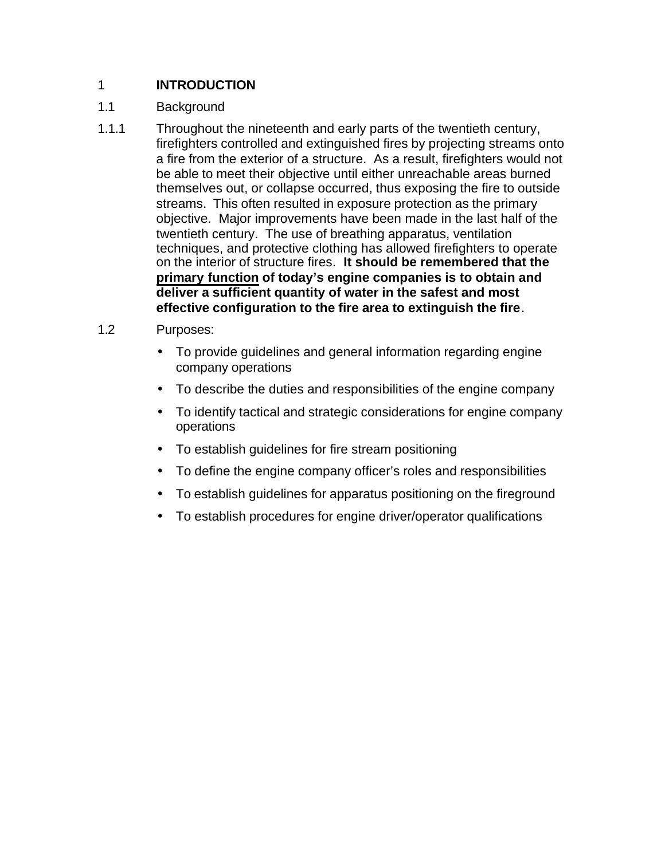# 1 **INTRODUCTION**

# 1.1 Background

1.1.1 Throughout the nineteenth and early parts of the twentieth century, firefighters controlled and extinguished fires by projecting streams onto a fire from the exterior of a structure. As a result, firefighters would not be able to meet their objective until either unreachable areas burned themselves out, or collapse occurred, thus exposing the fire to outside streams. This often resulted in exposure protection as the primary objective. Major improvements have been made in the last half of the twentieth century. The use of breathing apparatus, ventilation techniques, and protective clothing has allowed firefighters to operate on the interior of structure fires. **It should be remembered that the primary function of today's engine companies is to obtain and deliver a sufficient quantity of water in the safest and most effective configuration to the fire area to extinguish the fire**.

## 1.2 Purposes:

- To provide guidelines and general information regarding engine company operations
- To describe the duties and responsibilities of the engine company
- To identify tactical and strategic considerations for engine company operations
- To establish guidelines for fire stream positioning
- To define the engine company officer's roles and responsibilities
- To establish guidelines for apparatus positioning on the fireground
- To establish procedures for engine driver/operator qualifications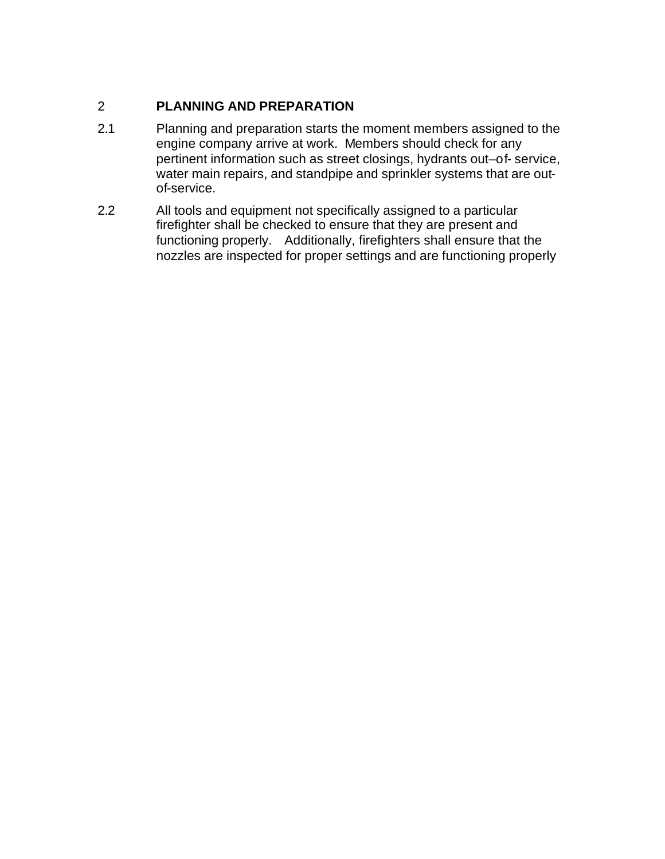# 2 **PLANNING AND PREPARATION**

- 2.1 Planning and preparation starts the moment members assigned to the engine company arrive at work. Members should check for any pertinent information such as street closings, hydrants out–of- service, water main repairs, and standpipe and sprinkler systems that are outof-service.
- 2.2 All tools and equipment not specifically assigned to a particular firefighter shall be checked to ensure that they are present and functioning properly. Additionally, firefighters shall ensure that the nozzles are inspected for proper settings and are functioning properly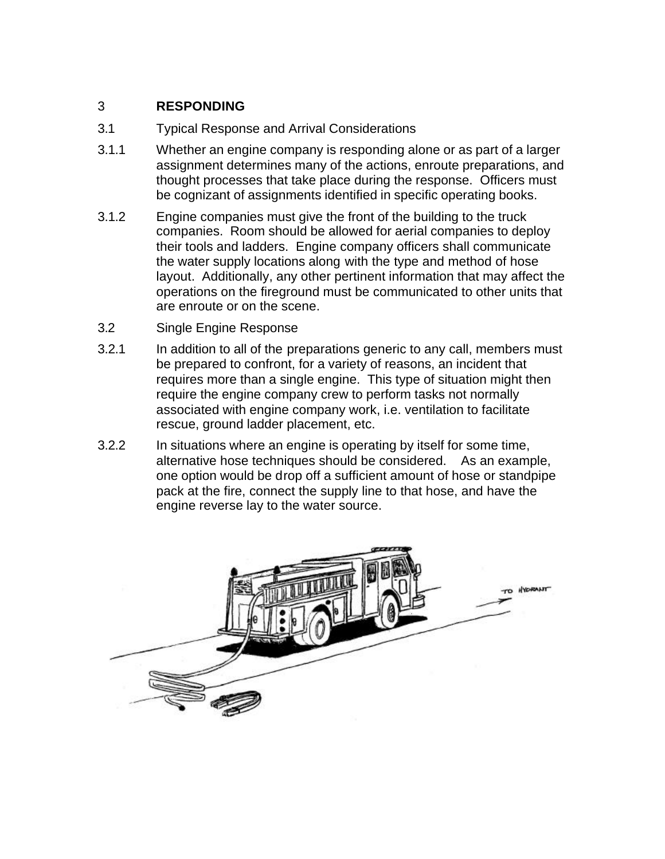# 3 **RESPONDING**

- 3.1 Typical Response and Arrival Considerations
- 3.1.1 Whether an engine company is responding alone or as part of a larger assignment determines many of the actions, enroute preparations, and thought processes that take place during the response. Officers must be cognizant of assignments identified in specific operating books.
- 3.1.2 Engine companies must give the front of the building to the truck companies. Room should be allowed for aerial companies to deploy their tools and ladders. Engine company officers shall communicate the water supply locations along with the type and method of hose layout. Additionally, any other pertinent information that may affect the operations on the fireground must be communicated to other units that are enroute or on the scene.
- 3.2 Single Engine Response
- 3.2.1 In addition to all of the preparations generic to any call, members must be prepared to confront, for a variety of reasons, an incident that requires more than a single engine. This type of situation might then require the engine company crew to perform tasks not normally associated with engine company work, i.e. ventilation to facilitate rescue, ground ladder placement, etc.
- 3.2.2 In situations where an engine is operating by itself for some time, alternative hose techniques should be considered. As an example, one option would be drop off a sufficient amount of hose or standpipe pack at the fire, connect the supply line to that hose, and have the engine reverse lay to the water source.

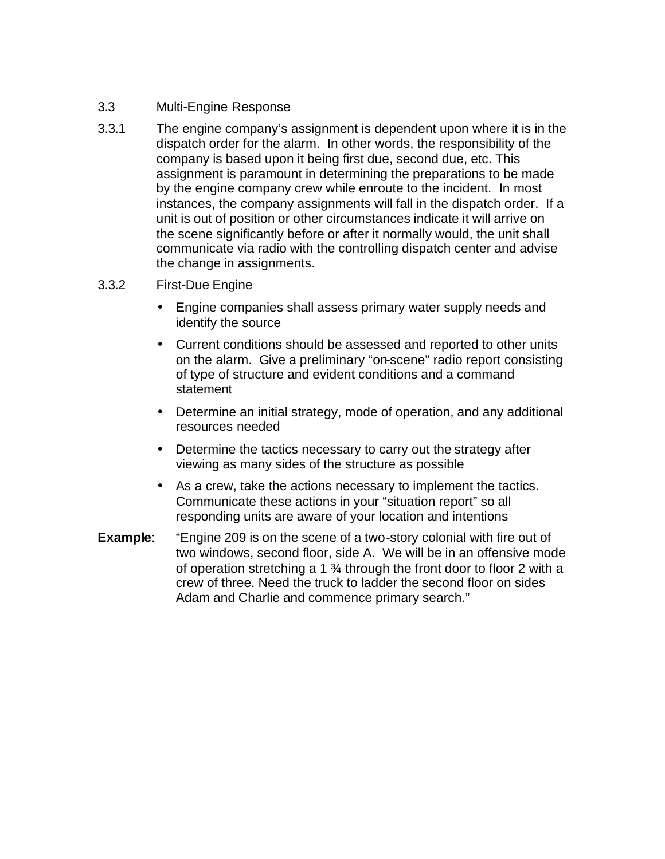## 3.3 Multi-Engine Response

3.3.1 The engine company's assignment is dependent upon where it is in the dispatch order for the alarm. In other words, the responsibility of the company is based upon it being first due, second due, etc. This assignment is paramount in determining the preparations to be made by the engine company crew while enroute to the incident. In most instances, the company assignments will fall in the dispatch order. If a unit is out of position or other circumstances indicate it will arrive on the scene significantly before or after it normally would, the unit shall communicate via radio with the controlling dispatch center and advise the change in assignments.

#### 3.3.2 First-Due Engine

- Engine companies shall assess primary water supply needs and identify the source
- Current conditions should be assessed and reported to other units on the alarm. Give a preliminary "on-scene" radio report consisting of type of structure and evident conditions and a command statement
- Determine an initial strategy, mode of operation, and any additional resources needed
- Determine the tactics necessary to carry out the strategy after viewing as many sides of the structure as possible
- As a crew, take the actions necessary to implement the tactics. Communicate these actions in your "situation report" so all responding units are aware of your location and intentions
- **Example**: "Engine 209 is on the scene of a two-story colonial with fire out of two windows, second floor, side A. We will be in an offensive mode of operation stretching a 1 ¾ through the front door to floor 2 with a crew of three. Need the truck to ladder the second floor on sides Adam and Charlie and commence primary search."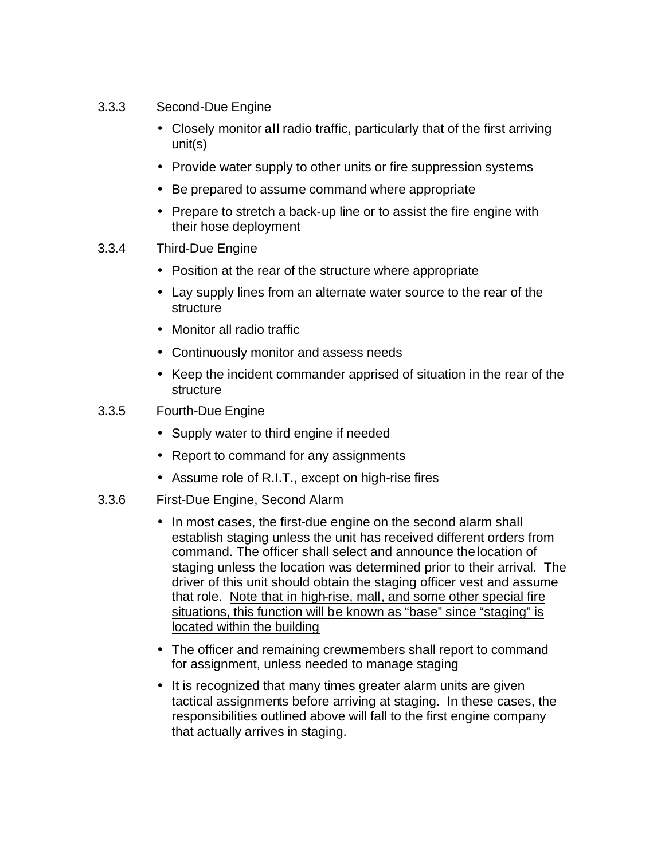- 3.3.3 Second-Due Engine
	- Closely monitor **all** radio traffic, particularly that of the first arriving unit(s)
	- Provide water supply to other units or fire suppression systems
	- Be prepared to assume command where appropriate
	- Prepare to stretch a back-up line or to assist the fire engine with their hose deployment
- 3.3.4 Third-Due Engine
	- Position at the rear of the structure where appropriate
	- Lay supply lines from an alternate water source to the rear of the structure
	- Monitor all radio traffic
	- Continuously monitor and assess needs
	- Keep the incident commander apprised of situation in the rear of the **structure**
- 3.3.5 Fourth-Due Engine
	- Supply water to third engine if needed
	- Report to command for any assignments
	- Assume role of R.I.T., except on high-rise fires
- 3.3.6 First-Due Engine, Second Alarm
	- In most cases, the first-due engine on the second alarm shall establish staging unless the unit has received different orders from command. The officer shall select and announce the location of staging unless the location was determined prior to their arrival. The driver of this unit should obtain the staging officer vest and assume that role. Note that in high-rise, mall, and some other special fire situations, this function will be known as "base" since "staging" is located within the building
	- The officer and remaining crewmembers shall report to command for assignment, unless needed to manage staging
	- It is recognized that many times greater alarm units are given tactical assignments before arriving at staging. In these cases, the responsibilities outlined above will fall to the first engine company that actually arrives in staging.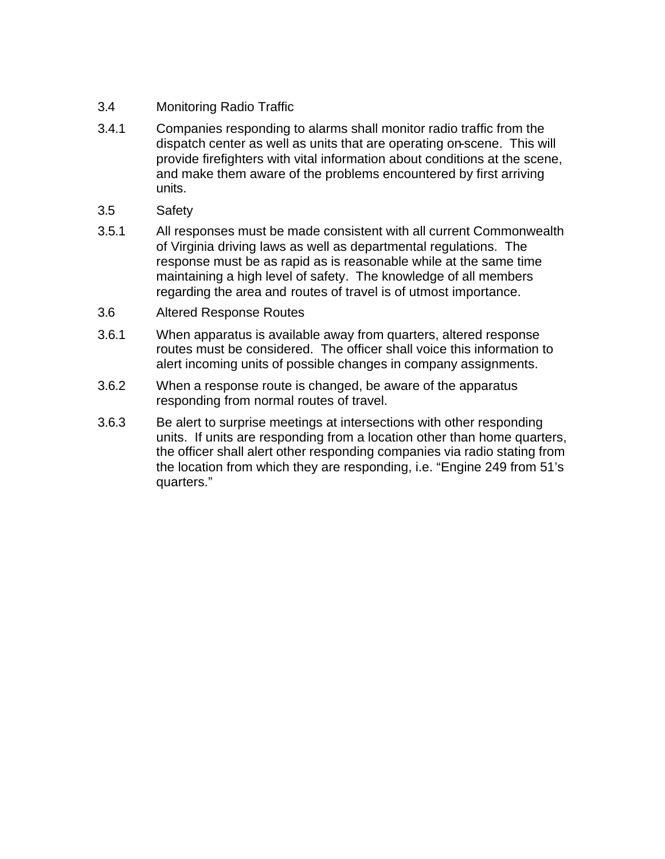- 3.4 Monitoring Radio Traffic
- 3.4.1 Companies responding to alarms shall monitor radio traffic from the dispatch center as well as units that are operating on-scene. This will provide firefighters with vital information about conditions at the scene, and make them aware of the problems encountered by first arriving units.
- 3.5 Safety
- 3.5.1 All responses must be made consistent with all current Commonwealth of Virginia driving laws as well as departmental regulations. The response must be as rapid as is reasonable while at the same time maintaining a high level of safety. The knowledge of all members regarding the area and routes of travel is of utmost importance.
- 3.6 Altered Response Routes
- 3.6.1 When apparatus is available away from quarters, altered response routes must be considered. The officer shall voice this information to alert incoming units of possible changes in company assignments.
- 3.6.2 When a response route is changed, be aware of the apparatus responding from normal routes of travel.
- 3.6.3 Be alert to surprise meetings at intersections with other responding units. If units are responding from a location other than home quarters, the officer shall alert other responding companies via radio stating from the location from which they are responding, i.e. "Engine 249 from 51's quarters."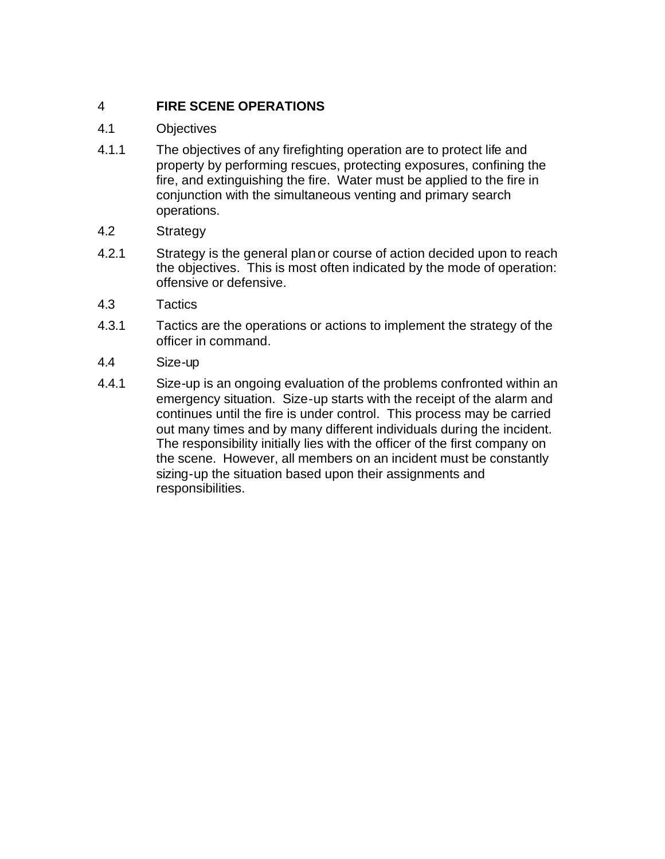# 4 **FIRE SCENE OPERATIONS**

- 4.1 Objectives
- 4.1.1 The objectives of any firefighting operation are to protect life and property by performing rescues, protecting exposures, confining the fire, and extinguishing the fire. Water must be applied to the fire in conjunction with the simultaneous venting and primary search operations.
- 4.2 Strategy
- 4.2.1 Strategy is the general plan or course of action decided upon to reach the objectives. This is most often indicated by the mode of operation: offensive or defensive.
- 4.3 Tactics
- 4.3.1 Tactics are the operations or actions to implement the strategy of the officer in command.
- 4.4 Size-up
- 4.4.1 Size-up is an ongoing evaluation of the problems confronted within an emergency situation. Size-up starts with the receipt of the alarm and continues until the fire is under control. This process may be carried out many times and by many different individuals during the incident. The responsibility initially lies with the officer of the first company on the scene. However, all members on an incident must be constantly sizing-up the situation based upon their assignments and responsibilities.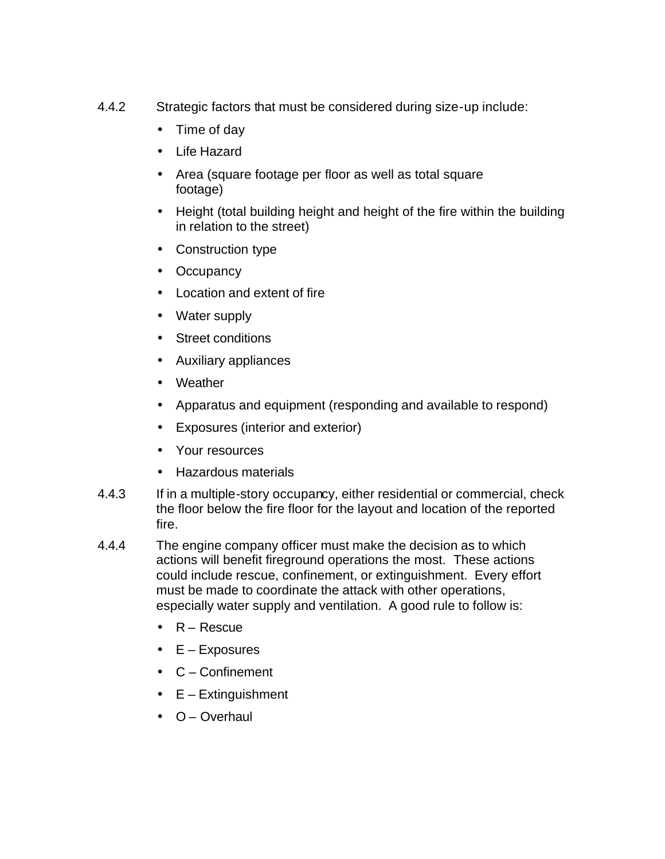- 4.4.2 Strategic factors that must be considered during size-up include:
	- Time of day
	- Life Hazard
	- Area (square footage per floor as well as total square footage)
	- Height (total building height and height of the fire within the building in relation to the street)
	- Construction type
	- Occupancy
	- Location and extent of fire
	- Water supply
	- Street conditions
	- Auxiliary appliances
	- Weather
	- Apparatus and equipment (responding and available to respond)
	- Exposures (interior and exterior)
	- Your resources
	- Hazardous materials
- 4.4.3 If in a multiple-story occupancy, either residential or commercial, check the floor below the fire floor for the layout and location of the reported fire.
- 4.4.4 The engine company officer must make the decision as to which actions will benefit fireground operations the most. These actions could include rescue, confinement, or extinguishment. Every effort must be made to coordinate the attack with other operations, especially water supply and ventilation. A good rule to follow is:
	- R Rescue
	- $\bullet$   $E -$  Exposures
	- C Confinement
	- $\bullet$   $E Extinguishment$
	- O Overhaul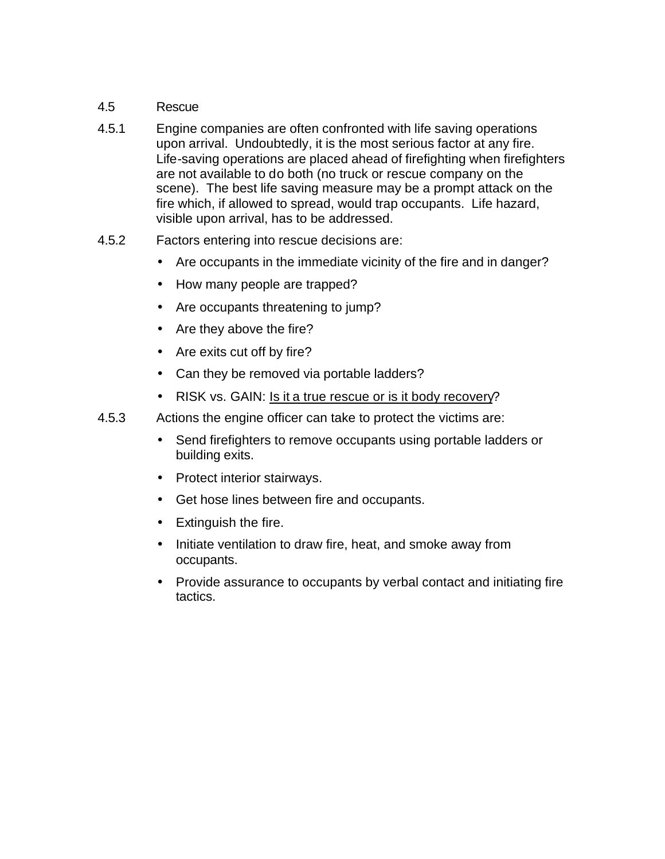## 4.5 Rescue

- 4.5.1 Engine companies are often confronted with life saving operations upon arrival. Undoubtedly, it is the most serious factor at any fire. Life-saving operations are placed ahead of firefighting when firefighters are not available to do both (no truck or rescue company on the scene). The best life saving measure may be a prompt attack on the fire which, if allowed to spread, would trap occupants. Life hazard, visible upon arrival, has to be addressed.
- 4.5.2 Factors entering into rescue decisions are:
	- Are occupants in the immediate vicinity of the fire and in danger?
	- How many people are trapped?
	- Are occupants threatening to jump?
	- Are they above the fire?
	- Are exits cut off by fire?
	- Can they be removed via portable ladders?
	- RISK vs. GAIN: Is it a true rescue or is it body recovery?
- 4.5.3 Actions the engine officer can take to protect the victims are:
	- Send firefighters to remove occupants using portable ladders or building exits.
	- Protect interior stairways.
	- Get hose lines between fire and occupants.
	- Extinguish the fire.
	- Initiate ventilation to draw fire, heat, and smoke away from occupants.
	- Provide assurance to occupants by verbal contact and initiating fire tactics.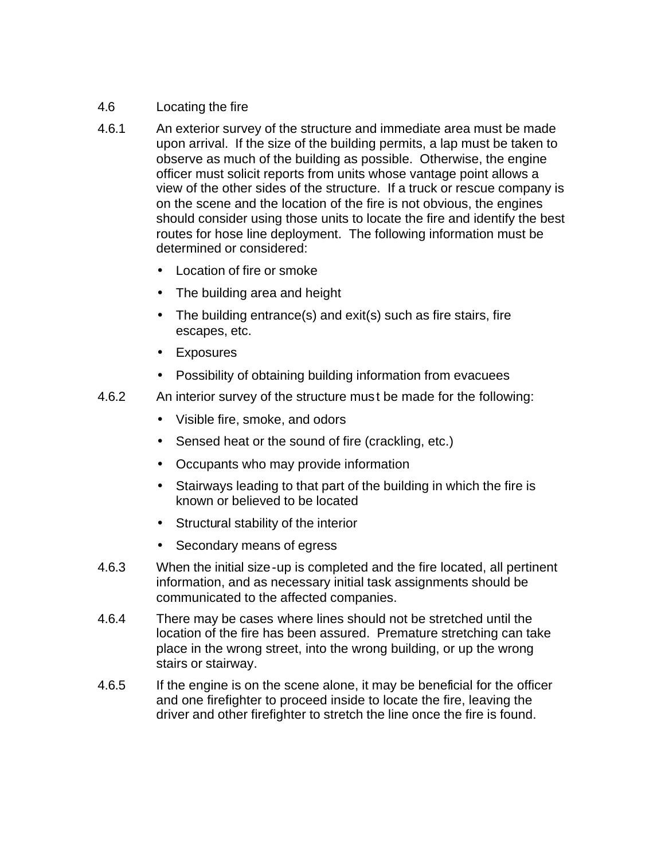## 4.6 Locating the fire

- 4.6.1 An exterior survey of the structure and immediate area must be made upon arrival. If the size of the building permits, a lap must be taken to observe as much of the building as possible. Otherwise, the engine officer must solicit reports from units whose vantage point allows a view of the other sides of the structure. If a truck or rescue company is on the scene and the location of the fire is not obvious, the engines should consider using those units to locate the fire and identify the best routes for hose line deployment. The following information must be determined or considered:
	- Location of fire or smoke
	- The building area and height
	- The building entrance(s) and exit(s) such as fire stairs, fire escapes, etc.
	- Exposures
	- Possibility of obtaining building information from evacuees
- 4.6.2 An interior survey of the structure must be made for the following:
	- Visible fire, smoke, and odors
	- Sensed heat or the sound of fire (crackling, etc.)
	- Occupants who may provide information
	- Stairways leading to that part of the building in which the fire is known or believed to be located
	- Structural stability of the interior
	- Secondary means of egress
- 4.6.3 When the initial size-up is completed and the fire located, all pertinent information, and as necessary initial task assignments should be communicated to the affected companies.
- 4.6.4 There may be cases where lines should not be stretched until the location of the fire has been assured. Premature stretching can take place in the wrong street, into the wrong building, or up the wrong stairs or stairway.
- 4.6.5 If the engine is on the scene alone, it may be beneficial for the officer and one firefighter to proceed inside to locate the fire, leaving the driver and other firefighter to stretch the line once the fire is found.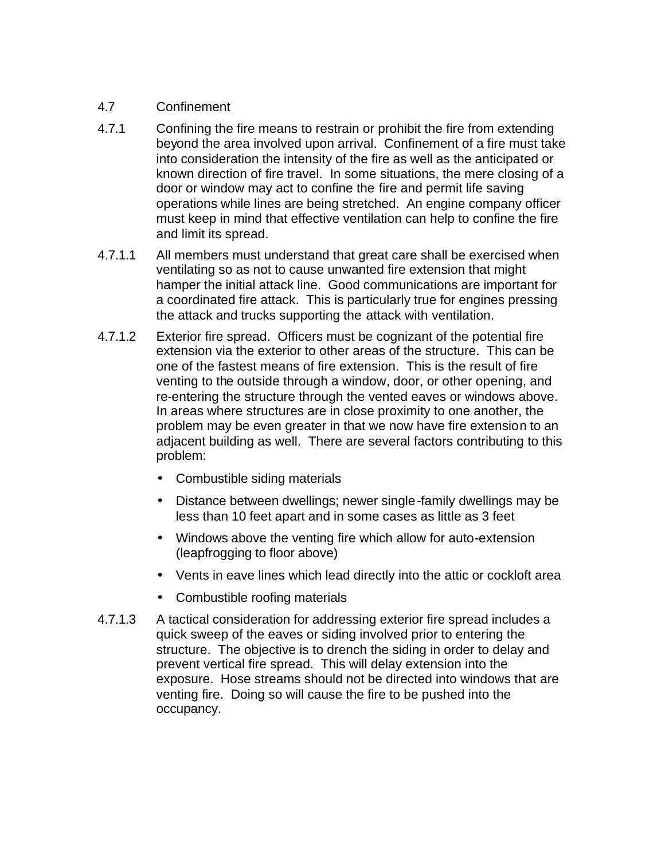## 4.7 Confinement

- 4.7.1 Confining the fire means to restrain or prohibit the fire from extending beyond the area involved upon arrival. Confinement of a fire must take into consideration the intensity of the fire as well as the anticipated or known direction of fire travel. In some situations, the mere closing of a door or window may act to confine the fire and permit life saving operations while lines are being stretched. An engine company officer must keep in mind that effective ventilation can help to confine the fire and limit its spread.
- 4.7.1.1 All members must understand that great care shall be exercised when ventilating so as not to cause unwanted fire extension that might hamper the initial attack line. Good communications are important for a coordinated fire attack. This is particularly true for engines pressing the attack and trucks supporting the attack with ventilation.
- 4.7.1.2 Exterior fire spread. Officers must be cognizant of the potential fire extension via the exterior to other areas of the structure. This can be one of the fastest means of fire extension. This is the result of fire venting to the outside through a window, door, or other opening, and re-entering the structure through the vented eaves or windows above. In areas where structures are in close proximity to one another, the problem may be even greater in that we now have fire extension to an adjacent building as well. There are several factors contributing to this problem:
	- Combustible siding materials
	- Distance between dwellings; newer single-family dwellings may be less than 10 feet apart and in some cases as little as 3 feet
	- Windows above the venting fire which allow for auto-extension (leapfrogging to floor above)
	- Vents in eave lines which lead directly into the attic or cockloft area
	- Combustible roofing materials
- 4.7.1.3 A tactical consideration for addressing exterior fire spread includes a quick sweep of the eaves or siding involved prior to entering the structure. The objective is to drench the siding in order to delay and prevent vertical fire spread. This will delay extension into the exposure. Hose streams should not be directed into windows that are venting fire. Doing so will cause the fire to be pushed into the occupancy.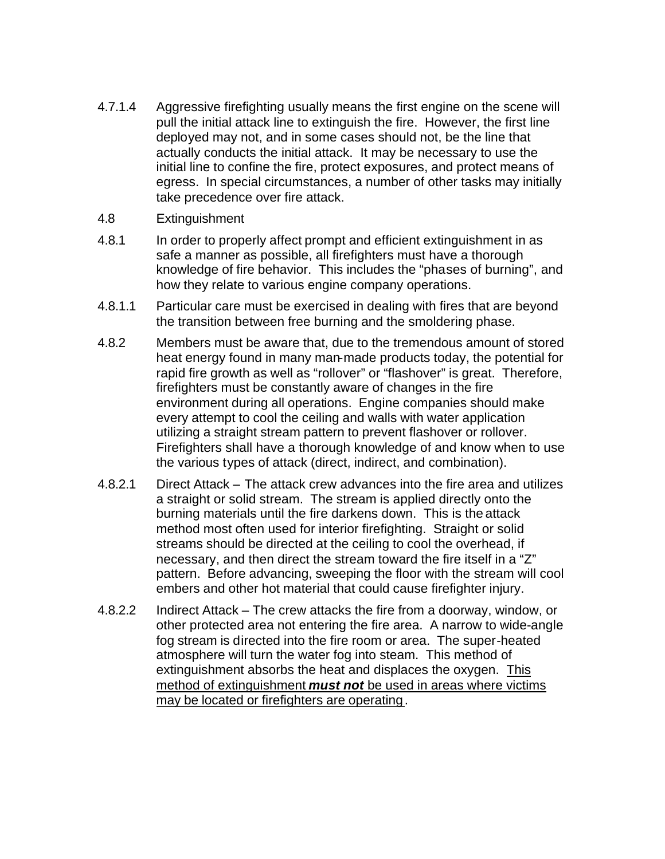- 4.7.1.4 Aggressive firefighting usually means the first engine on the scene will pull the initial attack line to extinguish the fire. However, the first line deployed may not, and in some cases should not, be the line that actually conducts the initial attack. It may be necessary to use the initial line to confine the fire, protect exposures, and protect means of egress. In special circumstances, a number of other tasks may initially take precedence over fire attack.
- 4.8 Extinguishment
- 4.8.1 In order to properly affect prompt and efficient extinguishment in as safe a manner as possible, all firefighters must have a thorough knowledge of fire behavior. This includes the "phases of burning", and how they relate to various engine company operations.
- 4.8.1.1 Particular care must be exercised in dealing with fires that are beyond the transition between free burning and the smoldering phase.
- 4.8.2 Members must be aware that, due to the tremendous amount of stored heat energy found in many man-made products today, the potential for rapid fire growth as well as "rollover" or "flashover" is great. Therefore, firefighters must be constantly aware of changes in the fire environment during all operations. Engine companies should make every attempt to cool the ceiling and walls with water application utilizing a straight stream pattern to prevent flashover or rollover. Firefighters shall have a thorough knowledge of and know when to use the various types of attack (direct, indirect, and combination).
- 4.8.2.1 Direct Attack The attack crew advances into the fire area and utilizes a straight or solid stream. The stream is applied directly onto the burning materials until the fire darkens down. This is the attack method most often used for interior firefighting. Straight or solid streams should be directed at the ceiling to cool the overhead, if necessary, and then direct the stream toward the fire itself in a "Z" pattern. Before advancing, sweeping the floor with the stream will cool embers and other hot material that could cause firefighter injury.
- 4.8.2.2 Indirect Attack The crew attacks the fire from a doorway, window, or other protected area not entering the fire area. A narrow to wide-angle fog stream is directed into the fire room or area. The super-heated atmosphere will turn the water fog into steam. This method of extinguishment absorbs the heat and displaces the oxygen. This method of extinguishment *must not* be used in areas where victims may be located or firefighters are operating.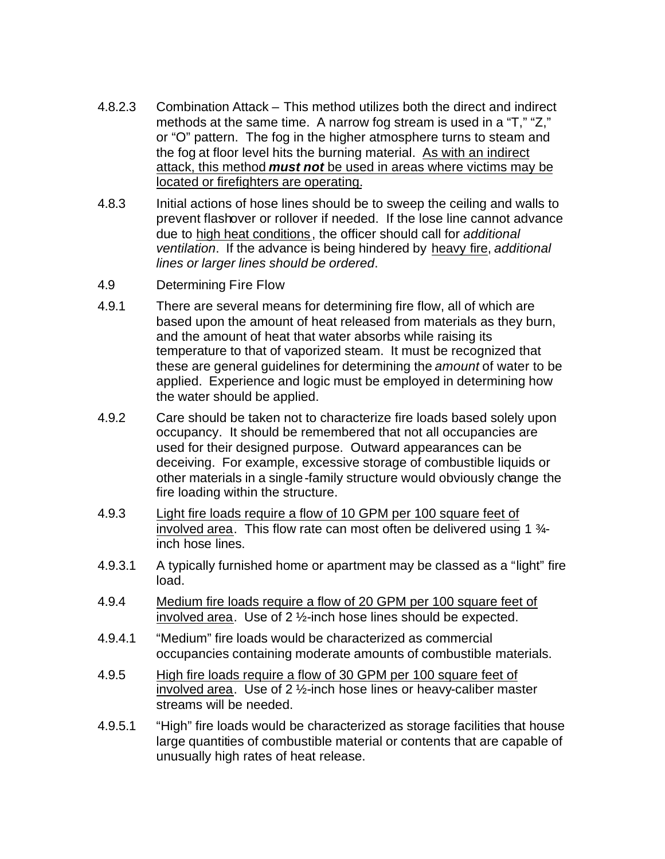- 4.8.2.3 Combination Attack This method utilizes both the direct and indirect methods at the same time. A narrow fog stream is used in a "T," "Z," or "O" pattern. The fog in the higher atmosphere turns to steam and the fog at floor level hits the burning material. As with an indirect attack, this method *must not* be used in areas where victims may be located or firefighters are operating.
- 4.8.3 Initial actions of hose lines should be to sweep the ceiling and walls to prevent flashover or rollover if needed. If the lose line cannot advance due to high heat conditions, the officer should call for *additional ventilation*. If the advance is being hindered by heavy fire, *additional lines or larger lines should be ordered*.
- 4.9 Determining Fire Flow
- 4.9.1 There are several means for determining fire flow, all of which are based upon the amount of heat released from materials as they burn, and the amount of heat that water absorbs while raising its temperature to that of vaporized steam. It must be recognized that these are general guidelines for determining the *amount* of water to be applied. Experience and logic must be employed in determining how the water should be applied.
- 4.9.2 Care should be taken not to characterize fire loads based solely upon occupancy. It should be remembered that not all occupancies are used for their designed purpose. Outward appearances can be deceiving. For example, excessive storage of combustible liquids or other materials in a single-family structure would obviously change the fire loading within the structure.
- 4.9.3 Light fire loads require a flow of 10 GPM per 100 square feet of involved area. This flow rate can most often be delivered using 1  $\frac{3}{4}$ inch hose lines.
- 4.9.3.1 A typically furnished home or apartment may be classed as a "light" fire load.
- 4.9.4 Medium fire loads require a flow of 20 GPM per 100 square feet of involved area. Use of 2 ½-inch hose lines should be expected.
- 4.9.4.1 "Medium" fire loads would be characterized as commercial occupancies containing moderate amounts of combustible materials.
- 4.9.5 High fire loads require a flow of 30 GPM per 100 square feet of involved area. Use of 2 ½-inch hose lines or heavy-caliber master streams will be needed.
- 4.9.5.1 "High" fire loads would be characterized as storage facilities that house large quantities of combustible material or contents that are capable of unusually high rates of heat release.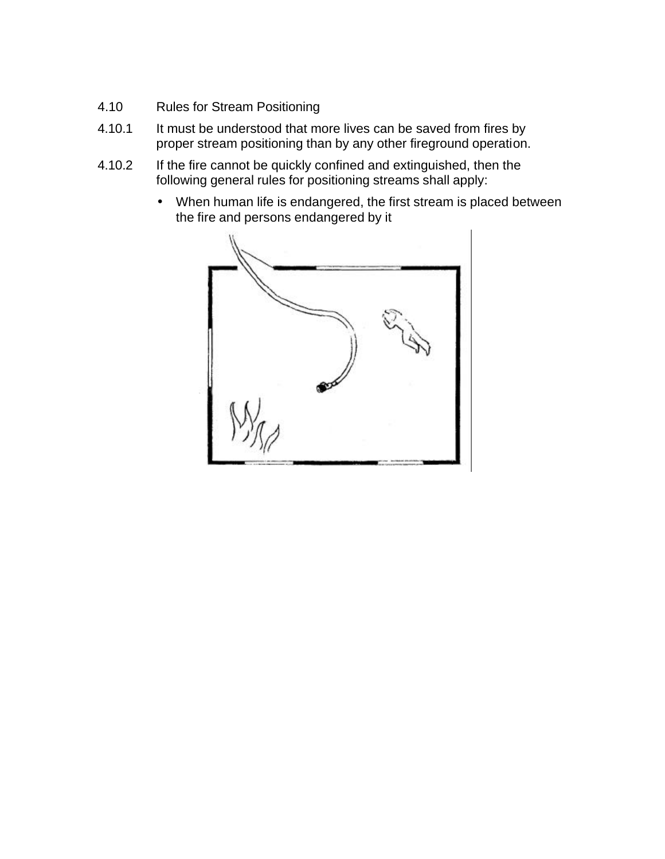- 4.10 Rules for Stream Positioning
- 4.10.1 It must be understood that more lives can be saved from fires by proper stream positioning than by any other fireground operation.
- 4.10.2 If the fire cannot be quickly confined and extinguished, then the following general rules for positioning streams shall apply:
	- When human life is endangered, the first stream is placed between the fire and persons endangered by it

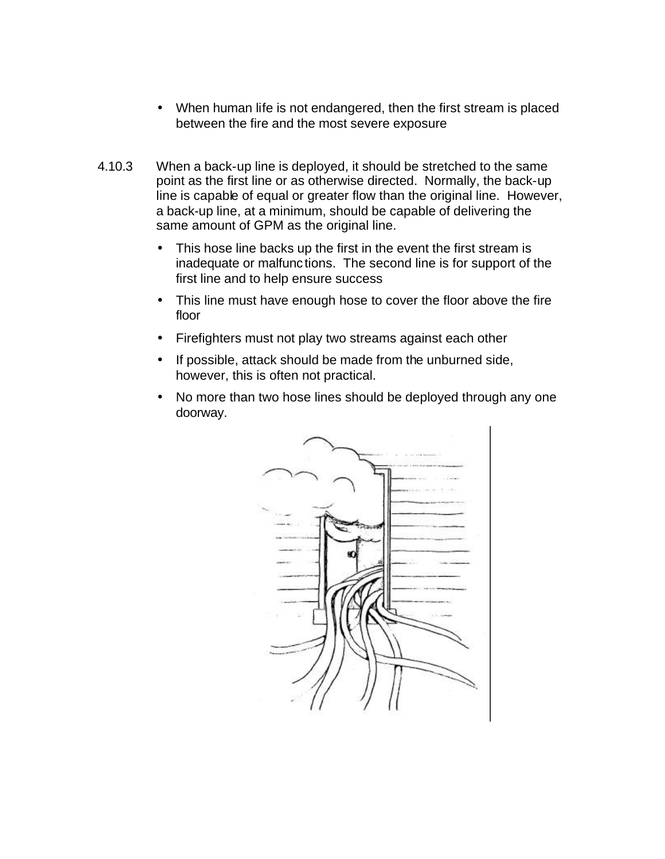- When human life is not endangered, then the first stream is placed between the fire and the most severe exposure
- 4.10.3 When a back-up line is deployed, it should be stretched to the same point as the first line or as otherwise directed. Normally, the back-up line is capable of equal or greater flow than the original line. However, a back-up line, at a minimum, should be capable of delivering the same amount of GPM as the original line.
	- This hose line backs up the first in the event the first stream is inadequate or malfunctions. The second line is for support of the first line and to help ensure success
	- This line must have enough hose to cover the floor above the fire floor
	- Firefighters must not play two streams against each other
	- If possible, attack should be made from the unburned side, however, this is often not practical.
	- No more than two hose lines should be deployed through any one doorway.

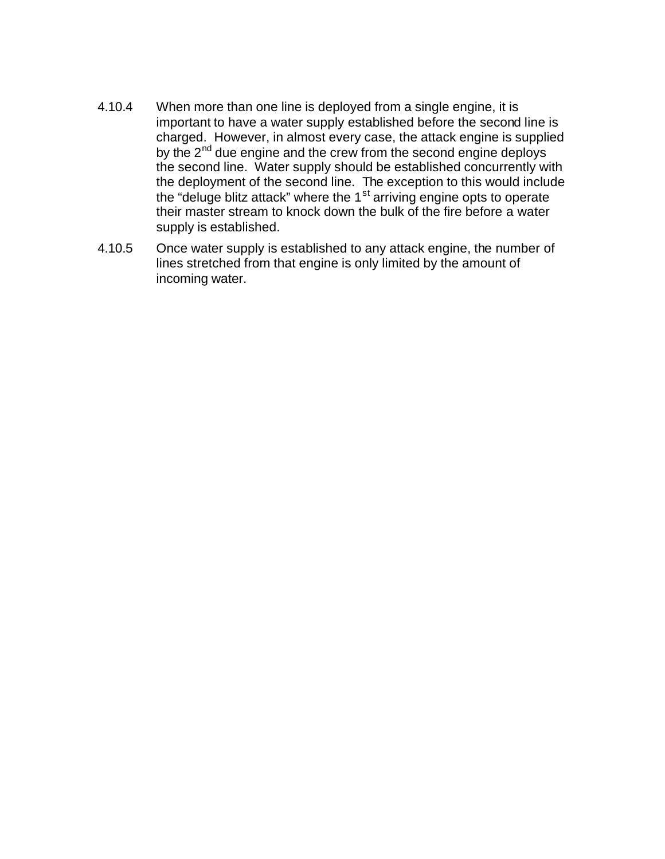- 4.10.4 When more than one line is deployed from a single engine, it is important to have a water supply established before the second line is charged. However, in almost every case, the attack engine is supplied by the  $2<sup>nd</sup>$  due engine and the crew from the second engine deploys the second line. Water supply should be established concurrently with the deployment of the second line. The exception to this would include the "deluge blitz attack" where the  $1<sup>st</sup>$  arriving engine opts to operate their master stream to knock down the bulk of the fire before a water supply is established.
- 4.10.5 Once water supply is established to any attack engine, the number of lines stretched from that engine is only limited by the amount of incoming water.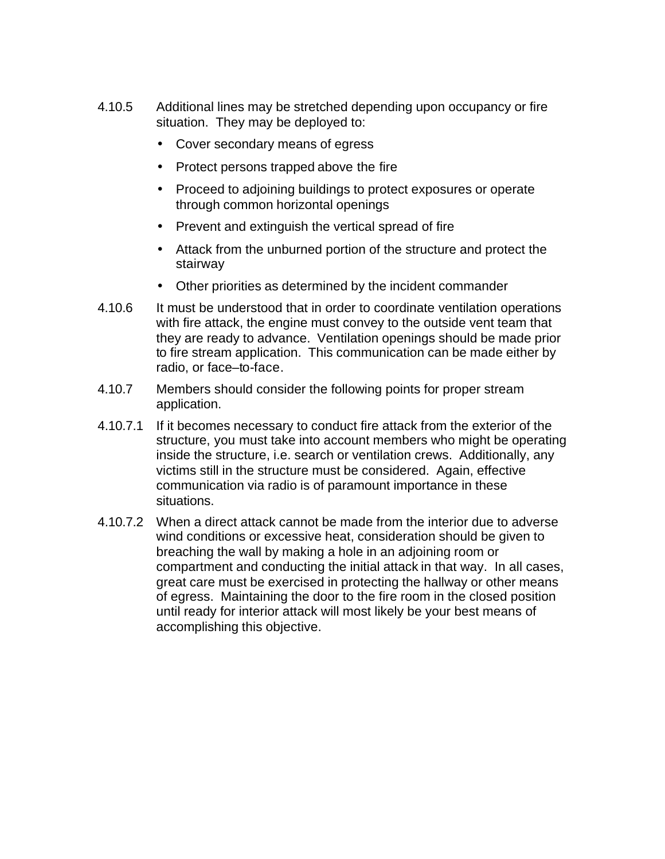- 4.10.5 Additional lines may be stretched depending upon occupancy or fire situation. They may be deployed to:
	- Cover secondary means of egress
	- Protect persons trapped above the fire
	- Proceed to adjoining buildings to protect exposures or operate through common horizontal openings
	- Prevent and extinguish the vertical spread of fire
	- Attack from the unburned portion of the structure and protect the stairway
	- Other priorities as determined by the incident commander
- 4.10.6 It must be understood that in order to coordinate ventilation operations with fire attack, the engine must convey to the outside vent team that they are ready to advance. Ventilation openings should be made prior to fire stream application. This communication can be made either by radio, or face–to-face.
- 4.10.7 Members should consider the following points for proper stream application.
- 4.10.7.1 If it becomes necessary to conduct fire attack from the exterior of the structure, you must take into account members who might be operating inside the structure, i.e. search or ventilation crews. Additionally, any victims still in the structure must be considered. Again, effective communication via radio is of paramount importance in these situations.
- 4.10.7.2 When a direct attack cannot be made from the interior due to adverse wind conditions or excessive heat, consideration should be given to breaching the wall by making a hole in an adjoining room or compartment and conducting the initial attack in that way. In all cases, great care must be exercised in protecting the hallway or other means of egress. Maintaining the door to the fire room in the closed position until ready for interior attack will most likely be your best means of accomplishing this objective.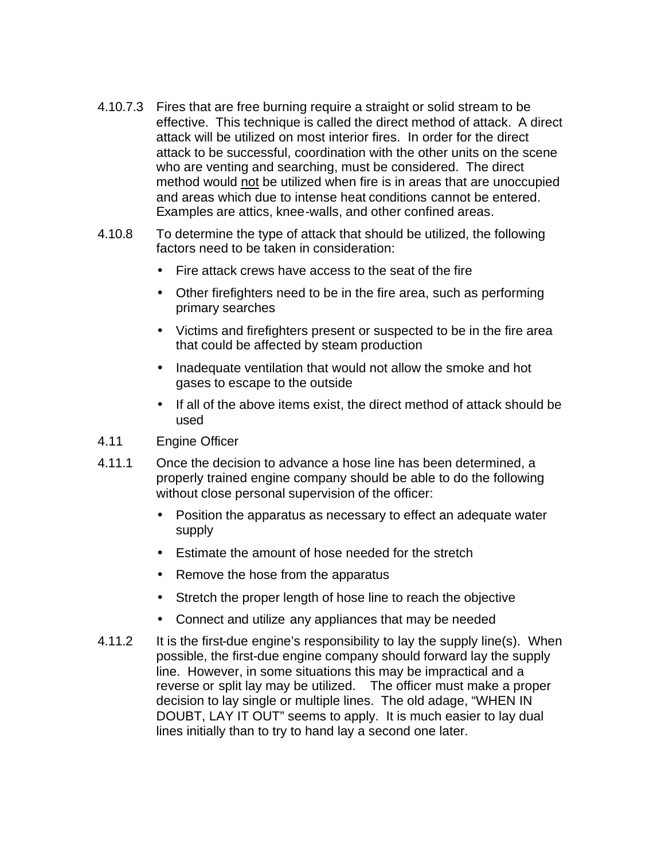- 4.10.7.3 Fires that are free burning require a straight or solid stream to be effective. This technique is called the direct method of attack. A direct attack will be utilized on most interior fires. In order for the direct attack to be successful, coordination with the other units on the scene who are venting and searching, must be considered. The direct method would not be utilized when fire is in areas that are unoccupied and areas which due to intense heat conditions cannot be entered. Examples are attics, knee-walls, and other confined areas.
- 4.10.8 To determine the type of attack that should be utilized, the following factors need to be taken in consideration:
	- Fire attack crews have access to the seat of the fire
	- Other firefighters need to be in the fire area, such as performing primary searches
	- Victims and firefighters present or suspected to be in the fire area that could be affected by steam production
	- Inadequate ventilation that would not allow the smoke and hot gases to escape to the outside
	- If all of the above items exist, the direct method of attack should be used
- 4.11 Engine Officer
- 4.11.1 Once the decision to advance a hose line has been determined, a properly trained engine company should be able to do the following without close personal supervision of the officer:
	- Position the apparatus as necessary to effect an adequate water supply
	- Estimate the amount of hose needed for the stretch
	- Remove the hose from the apparatus
	- Stretch the proper length of hose line to reach the objective
	- Connect and utilize any appliances that may be needed
- 4.11.2 It is the first-due engine's responsibility to lay the supply line(s). When possible, the first-due engine company should forward lay the supply line. However, in some situations this may be impractical and a reverse or split lay may be utilized. The officer must make a proper decision to lay single or multiple lines. The old adage, "WHEN IN DOUBT, LAY IT OUT" seems to apply. It is much easier to lay dual lines initially than to try to hand lay a second one later.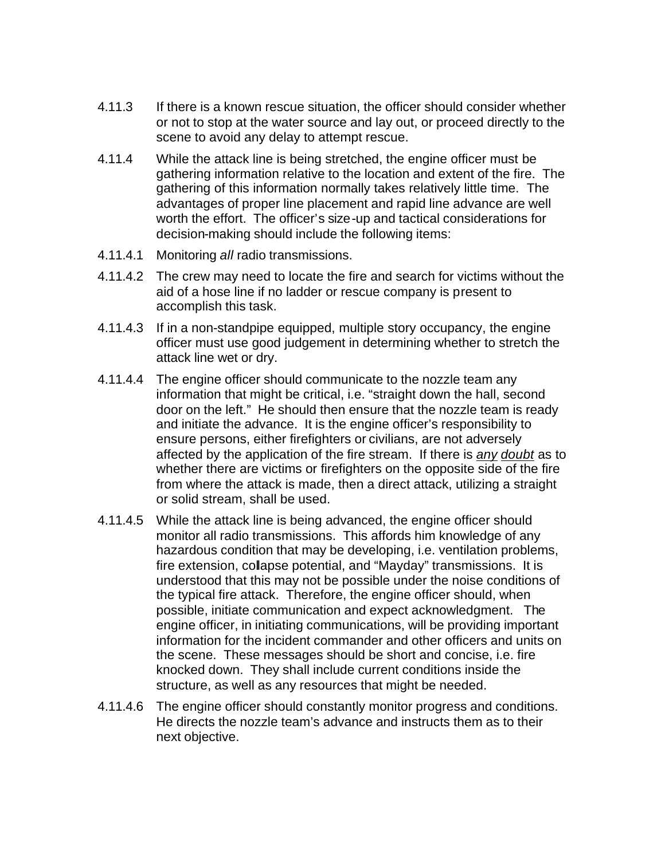- 4.11.3 If there is a known rescue situation, the officer should consider whether or not to stop at the water source and lay out, or proceed directly to the scene to avoid any delay to attempt rescue.
- 4.11.4 While the attack line is being stretched, the engine officer must be gathering information relative to the location and extent of the fire. The gathering of this information normally takes relatively little time. The advantages of proper line placement and rapid line advance are well worth the effort. The officer's size-up and tactical considerations for decision-making should include the following items:
- 4.11.4.1 Monitoring *all* radio transmissions.
- 4.11.4.2 The crew may need to locate the fire and search for victims without the aid of a hose line if no ladder or rescue company is present to accomplish this task.
- 4.11.4.3 If in a non-standpipe equipped, multiple story occupancy, the engine officer must use good judgement in determining whether to stretch the attack line wet or dry.
- 4.11.4.4 The engine officer should communicate to the nozzle team any information that might be critical, i.e. "straight down the hall, second door on the left." He should then ensure that the nozzle team is ready and initiate the advance. It is the engine officer's responsibility to ensure persons, either firefighters or civilians, are not adversely affected by the application of the fire stream. If there is *any doubt* as to whether there are victims or firefighters on the opposite side of the fire from where the attack is made, then a direct attack, utilizing a straight or solid stream, shall be used.
- 4.11.4.5 While the attack line is being advanced, the engine officer should monitor all radio transmissions. This affords him knowledge of any hazardous condition that may be developing, i.e. ventilation problems, fire extension, collapse potential, and "Mayday" transmissions. It is understood that this may not be possible under the noise conditions of the typical fire attack. Therefore, the engine officer should, when possible, initiate communication and expect acknowledgment. The engine officer, in initiating communications, will be providing important information for the incident commander and other officers and units on the scene. These messages should be short and concise, i.e. fire knocked down. They shall include current conditions inside the structure, as well as any resources that might be needed.
- 4.11.4.6 The engine officer should constantly monitor progress and conditions. He directs the nozzle team's advance and instructs them as to their next objective.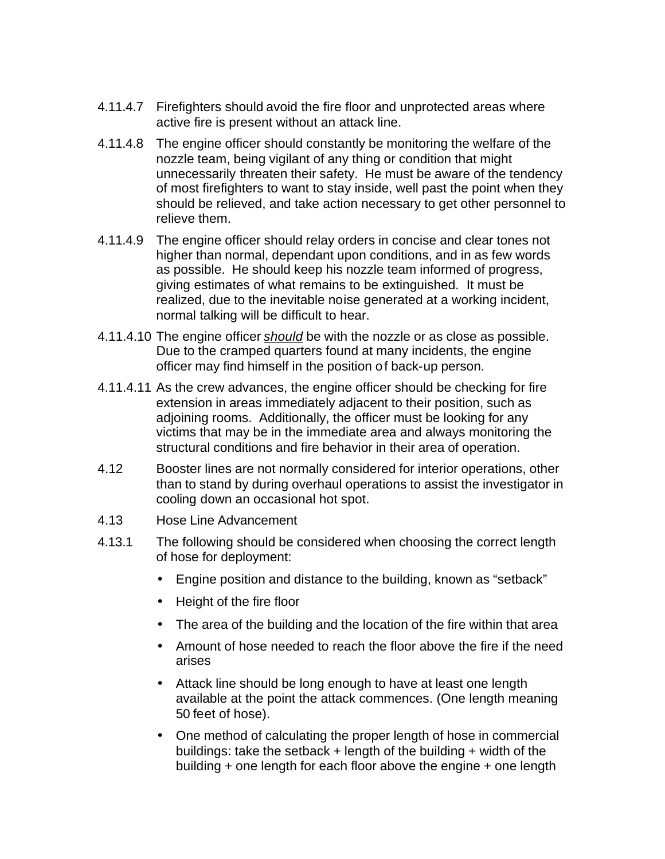- 4.11.4.7 Firefighters should avoid the fire floor and unprotected areas where active fire is present without an attack line.
- 4.11.4.8 The engine officer should constantly be monitoring the welfare of the nozzle team, being vigilant of any thing or condition that might unnecessarily threaten their safety. He must be aware of the tendency of most firefighters to want to stay inside, well past the point when they should be relieved, and take action necessary to get other personnel to relieve them.
- 4.11.4.9 The engine officer should relay orders in concise and clear tones not higher than normal, dependant upon conditions, and in as few words as possible. He should keep his nozzle team informed of progress, giving estimates of what remains to be extinguished. It must be realized, due to the inevitable noise generated at a working incident, normal talking will be difficult to hear.
- 4.11.4.10 The engine officer *should* be with the nozzle or as close as possible. Due to the cramped quarters found at many incidents, the engine officer may find himself in the position of back-up person.
- 4.11.4.11 As the crew advances, the engine officer should be checking for fire extension in areas immediately adjacent to their position, such as adjoining rooms. Additionally, the officer must be looking for any victims that may be in the immediate area and always monitoring the structural conditions and fire behavior in their area of operation.
- 4.12 Booster lines are not normally considered for interior operations, other than to stand by during overhaul operations to assist the investigator in cooling down an occasional hot spot.
- 4.13 Hose Line Advancement
- 4.13.1 The following should be considered when choosing the correct length of hose for deployment:
	- Engine position and distance to the building, known as "setback"
	- Height of the fire floor
	- The area of the building and the location of the fire within that area
	- Amount of hose needed to reach the floor above the fire if the need arises
	- Attack line should be long enough to have at least one length available at the point the attack commences. (One length meaning 50 feet of hose).
	- One method of calculating the proper length of hose in commercial buildings: take the setback + length of the building + width of the building + one length for each floor above the engine + one length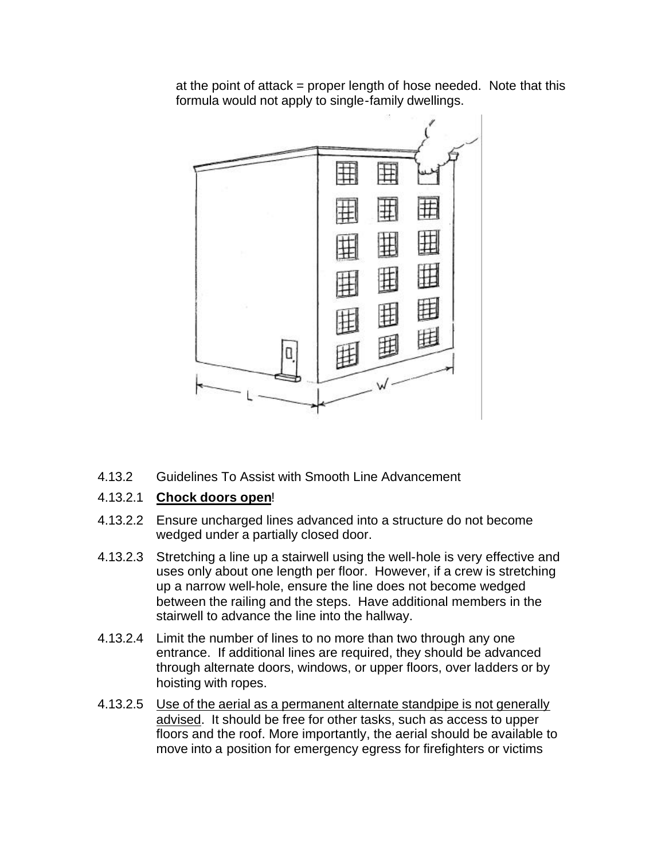at the point of attack = proper length of hose needed. Note that this formula would not apply to single-family dwellings.



4.13.2 Guidelines To Assist with Smooth Line Advancement

## 4.13.2.1 **Chock doors open**!

- 4.13.2.2 Ensure uncharged lines advanced into a structure do not become wedged under a partially closed door.
- 4.13.2.3 Stretching a line up a stairwell using the well-hole is very effective and uses only about one length per floor. However, if a crew is stretching up a narrow well-hole, ensure the line does not become wedged between the railing and the steps. Have additional members in the stairwell to advance the line into the hallway.
- 4.13.2.4 Limit the number of lines to no more than two through any one entrance. If additional lines are required, they should be advanced through alternate doors, windows, or upper floors, over ladders or by hoisting with ropes.
- 4.13.2.5 Use of the aerial as a permanent alternate standpipe is not generally advised. It should be free for other tasks, such as access to upper floors and the roof. More importantly, the aerial should be available to move into a position for emergency egress for firefighters or victims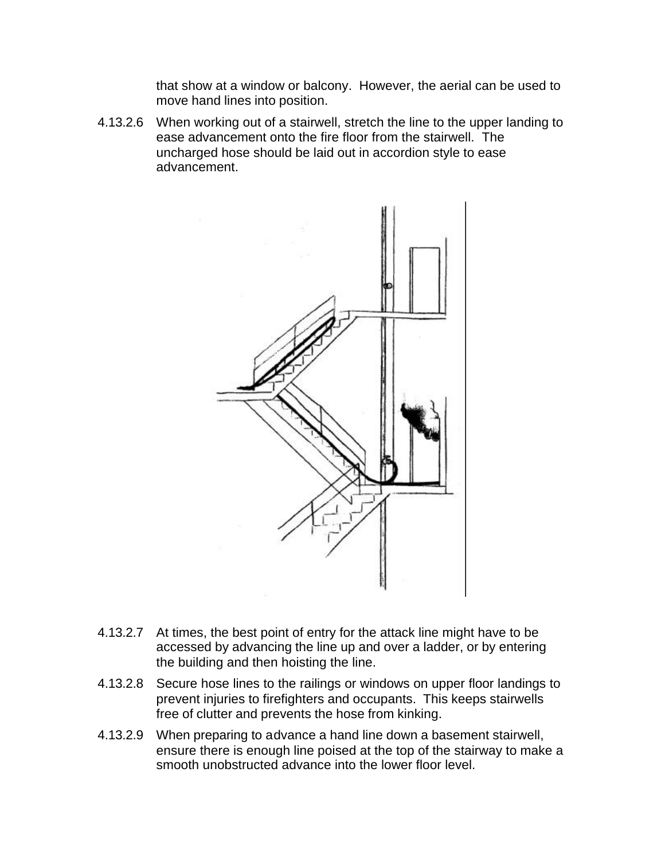that show at a window or balcony. However, the aerial can be used to move hand lines into position.

4.13.2.6 When working out of a stairwell, stretch the line to the upper landing to ease advancement onto the fire floor from the stairwell. The uncharged hose should be laid out in accordion style to ease advancement.



- 4.13.2.7 At times, the best point of entry for the attack line might have to be accessed by advancing the line up and over a ladder, or by entering the building and then hoisting the line.
- 4.13.2.8 Secure hose lines to the railings or windows on upper floor landings to prevent injuries to firefighters and occupants. This keeps stairwells free of clutter and prevents the hose from kinking.
- 4.13.2.9 When preparing to advance a hand line down a basement stairwell, ensure there is enough line poised at the top of the stairway to make a smooth unobstructed advance into the lower floor level.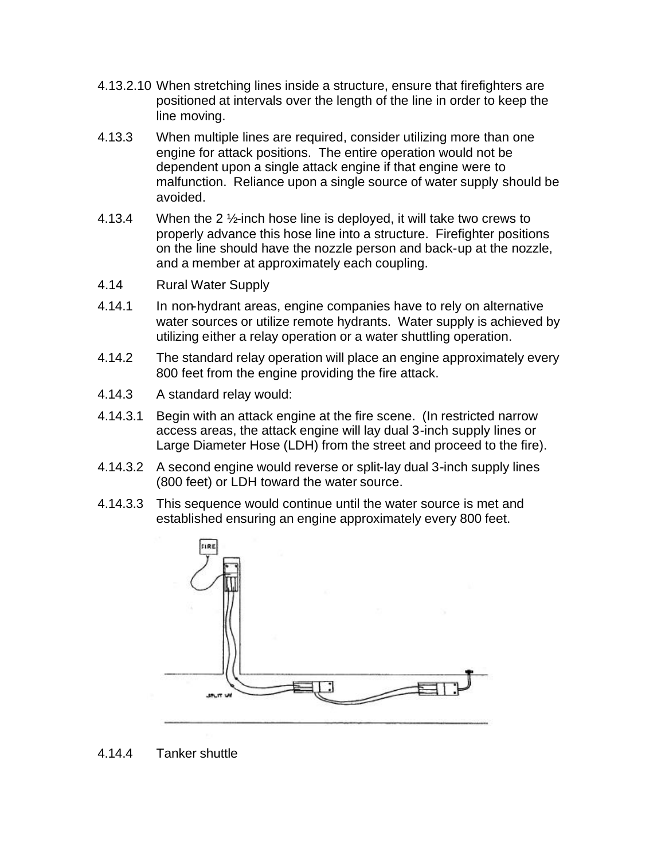- 4.13.2.10 When stretching lines inside a structure, ensure that firefighters are positioned at intervals over the length of the line in order to keep the line moving.
- 4.13.3 When multiple lines are required, consider utilizing more than one engine for attack positions. The entire operation would not be dependent upon a single attack engine if that engine were to malfunction. Reliance upon a single source of water supply should be avoided.
- 4.13.4 When the 2 ½-inch hose line is deployed, it will take two crews to properly advance this hose line into a structure. Firefighter positions on the line should have the nozzle person and back-up at the nozzle, and a member at approximately each coupling.
- 4.14 Rural Water Supply
- 4.14.1 In non-hydrant areas, engine companies have to rely on alternative water sources or utilize remote hydrants. Water supply is achieved by utilizing either a relay operation or a water shuttling operation.
- 4.14.2 The standard relay operation will place an engine approximately every 800 feet from the engine providing the fire attack.
- 4.14.3 A standard relay would:
- 4.14.3.1 Begin with an attack engine at the fire scene. (In restricted narrow access areas, the attack engine will lay dual 3-inch supply lines or Large Diameter Hose (LDH) from the street and proceed to the fire).
- 4.14.3.2 A second engine would reverse or split-lay dual 3-inch supply lines (800 feet) or LDH toward the water source.
- 4.14.3.3 This sequence would continue until the water source is met and established ensuring an engine approximately every 800 feet.



4.14.4 Tanker shuttle